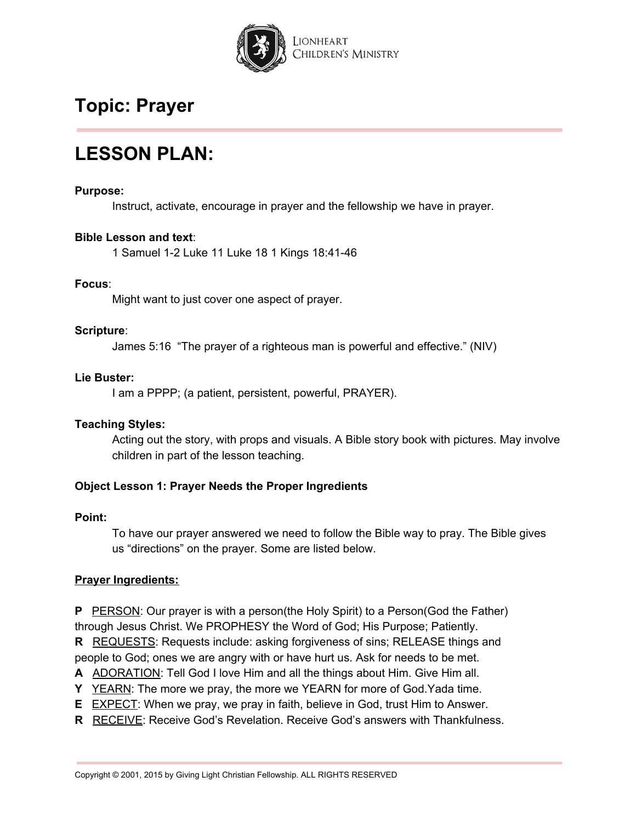

### **LESSON PLAN:**

#### **Purpose:**

Instruct, activate, encourage in prayer and the fellowship we have in prayer.

#### **Bible Lesson and text**:

1 Samuel 1-2 Luke 11 Luke 18 1 Kings 18:41-46

#### **Focus**:

Might want to just cover one aspect of prayer.

#### **Scripture**:

James 5:16 "The prayer of a righteous man is powerful and effective." (NIV)

#### **Lie Buster:**

I am a PPPP; (a patient, persistent, powerful, PRAYER).

#### **Teaching Styles:**

Acting out the story, with props and visuals. A Bible story book with pictures. May involve children in part of the lesson teaching.

#### **Object Lesson 1: Prayer Needs the Proper Ingredients**

#### **Point:**

To have our prayer answered we need to follow the Bible way to pray. The Bible gives us "directions" on the prayer. Some are listed below.

#### **Prayer Ingredients:**

**P** PERSON: Our prayer is with a person(the Holy Spirit) to a Person(God the Father) through Jesus Christ. We PROPHESY the Word of God; His Purpose; Patiently. **R** REQUESTS: Requests include: asking forgiveness of sins; RELEASE things and people to God; ones we are angry with or have hurt us. Ask for needs to be met.

**A** ADORATION: Tell God I love Him and all the things about Him. Give Him all.

- **Y** YEARN: The more we pray, the more we YEARN for more of God.Yada time.
- **E** EXPECT: When we pray, we pray in faith, believe in God, trust Him to Answer.
- **R** RECEIVE: Receive God's Revelation. Receive God's answers with Thankfulness.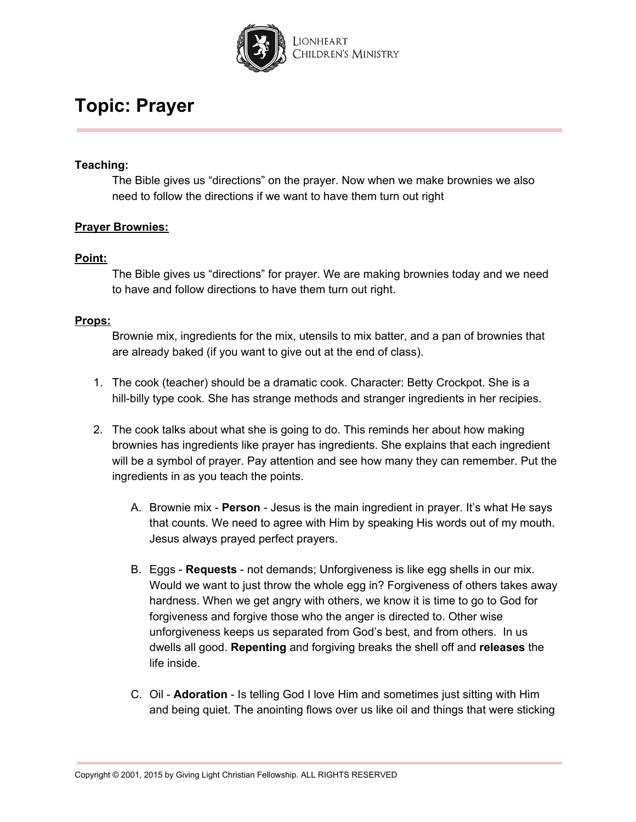

#### **Teaching:**

The Bible gives us "directions" on the prayer. Now when we make brownies we also need to follow the directions if we want to have them turn out right

#### **Prayer Brownies:**

#### **Point:**

The Bible gives us "directions" for prayer. We are making brownies today and we need to have and follow directions to have them turn out right.

#### **Props:**

Brownie mix, ingredients for the mix, utensils to mix batter, and a pan of brownies that are already baked (if you want to give out at the end of class).

- 1. The cook (teacher) should be a dramatic cook. Character: Betty Crockpot. She is a hill-billy type cook. She has strange methods and stranger ingredients in her recipies.
- 2. The cook talks about what she is going to do. This reminds her about how making brownies has ingredients like prayer has ingredients. She explains that each ingredient will be a symbol of prayer. Pay attention and see how many they can remember. Put the ingredients in as you teach the points.
	- A. Brownie mix **Person** Jesus is the main ingredient in prayer. It's what He says that counts. We need to agree with Him by speaking His words out of my mouth. Jesus always prayed perfect prayers.
	- B. Eggs **Requests** not demands; Unforgiveness is like egg shells in our mix. Would we want to just throw the whole egg in? Forgiveness of others takes away hardness. When we get angry with others, we know it is time to go to God for forgiveness and forgive those who the anger is directed to. Other wise unforgiveness keeps us separated from God's best, and from others. In us dwells all good. **Repenting** and forgiving breaks the shell off and **releases** the life inside.
	- C. Oil **Adoration** Is telling God I love Him and sometimes just sitting with Him and being quiet. The anointing flows over us like oil and things that were sticking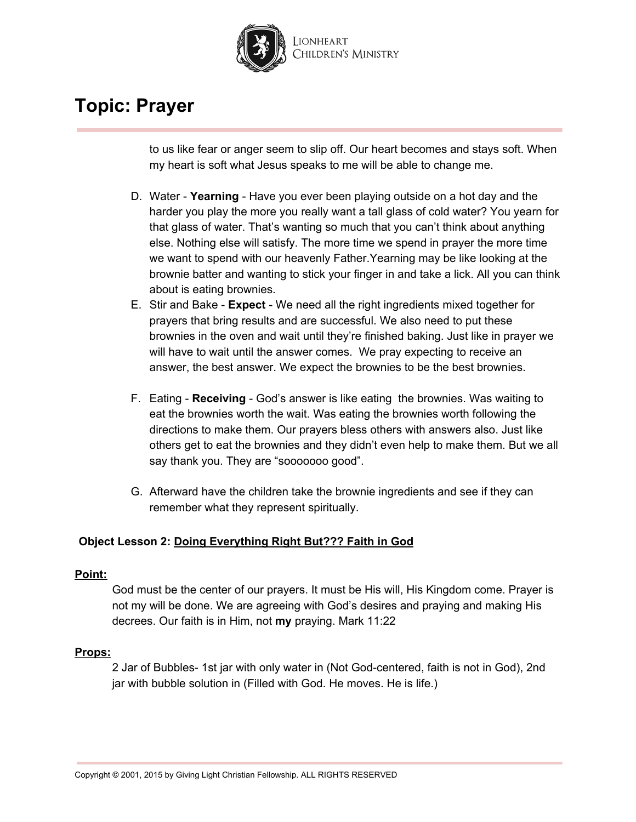

to us like fear or anger seem to slip off. Our heart becomes and stays soft. When my heart is soft what Jesus speaks to me will be able to change me.

- D. Water **Yearning** Have you ever been playing outside on a hot day and the harder you play the more you really want a tall glass of cold water? You yearn for that glass of water. That's wanting so much that you can't think about anything else. Nothing else will satisfy. The more time we spend in prayer the more time we want to spend with our heavenly Father.Yearning may be like looking at the brownie batter and wanting to stick your finger in and take a lick. All you can think about is eating brownies.
- E. Stir and Bake **Expect** We need all the right ingredients mixed together for prayers that bring results and are successful. We also need to put these brownies in the oven and wait until they're finished baking. Just like in prayer we will have to wait until the answer comes. We pray expecting to receive an answer, the best answer. We expect the brownies to be the best brownies.
- F. Eating **Receiving** God's answer is like eating the brownies. Was waiting to eat the brownies worth the wait. Was eating the brownies worth following the directions to make them. Our prayers bless others with answers also. Just like others get to eat the brownies and they didn't even help to make them. But we all say thank you. They are "sooooooo good".
- G. Afterward have the children take the brownie ingredients and see if they can remember what they represent spiritually.

#### **Object Lesson 2: Doing Everything Right But??? Faith in God**

#### **Point:**

God must be the center of our prayers. It must be His will, His Kingdom come. Prayer is not my will be done. We are agreeing with God's desires and praying and making His decrees. Our faith is in Him, not **my** praying. Mark 11:22

#### **Props:**

2 Jar of Bubbles- 1st jar with only water in (Not God-centered, faith is not in God), 2nd jar with bubble solution in (Filled with God. He moves. He is life.)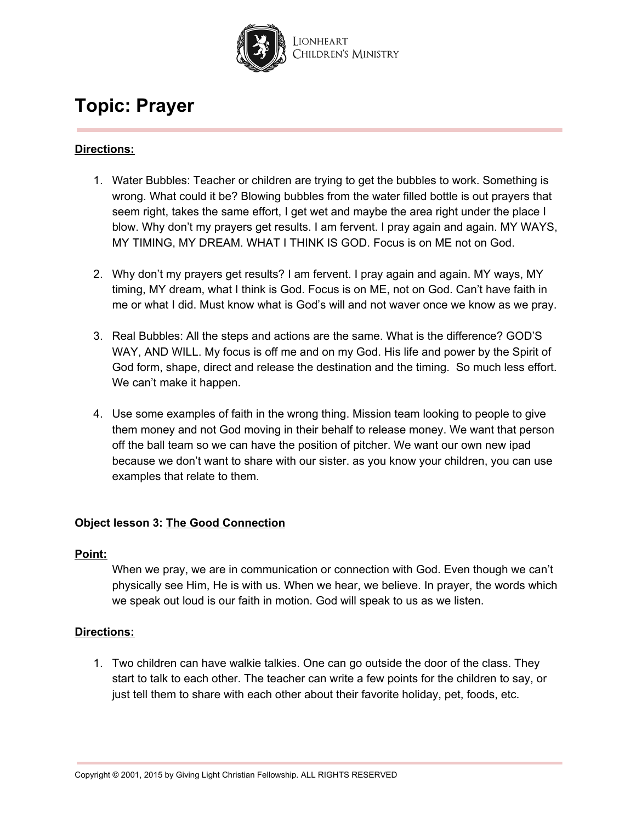

#### **Directions:**

- 1. Water Bubbles: Teacher or children are trying to get the bubbles to work. Something is wrong. What could it be? Blowing bubbles from the water filled bottle is out prayers that seem right, takes the same effort, I get wet and maybe the area right under the place I blow. Why don't my prayers get results. I am fervent. I pray again and again. MY WAYS, MY TIMING, MY DREAM. WHAT I THINK IS GOD. Focus is on ME not on God.
- 2. Why don't my prayers get results? I am fervent. I pray again and again. MY ways, MY timing, MY dream, what I think is God. Focus is on ME, not on God. Can't have faith in me or what I did. Must know what is God's will and not waver once we know as we pray.
- 3. Real Bubbles: All the steps and actions are the same. What is the difference? GOD'S WAY, AND WILL. My focus is off me and on my God. His life and power by the Spirit of God form, shape, direct and release the destination and the timing. So much less effort. We can't make it happen.
- 4. Use some examples of faith in the wrong thing. Mission team looking to people to give them money and not God moving in their behalf to release money. We want that person off the ball team so we can have the position of pitcher. We want our own new ipad because we don't want to share with our sister. as you know your children, you can use examples that relate to them.

#### **Object lesson 3: The Good Connection**

#### **Point:**

When we pray, we are in communication or connection with God. Even though we can't physically see Him, He is with us. When we hear, we believe. In prayer, the words which we speak out loud is our faith in motion. God will speak to us as we listen.

#### **Directions:**

1. Two children can have walkie talkies. One can go outside the door of the class. They start to talk to each other. The teacher can write a few points for the children to say, or just tell them to share with each other about their favorite holiday, pet, foods, etc.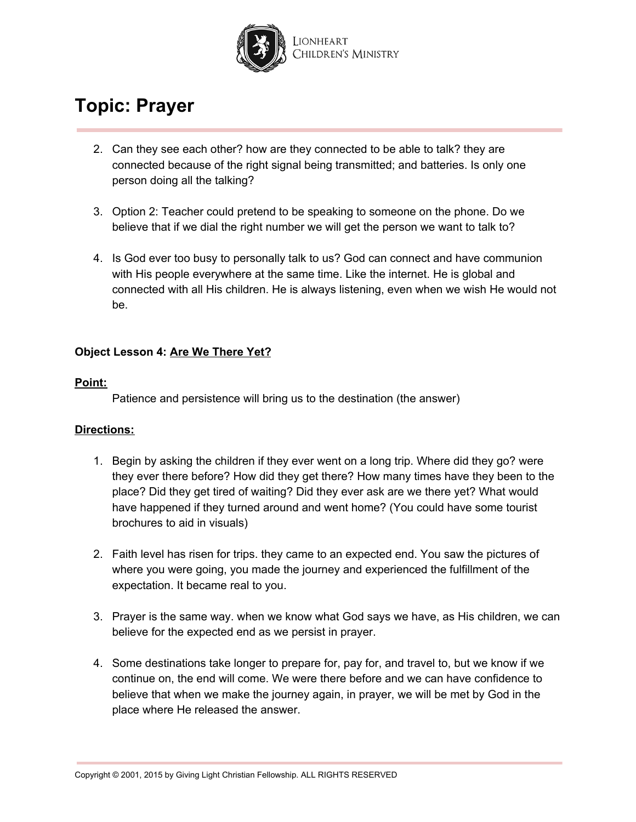

- 2. Can they see each other? how are they connected to be able to talk? they are connected because of the right signal being transmitted; and batteries. Is only one person doing all the talking?
- 3. Option 2: Teacher could pretend to be speaking to someone on the phone. Do we believe that if we dial the right number we will get the person we want to talk to?
- 4. Is God ever too busy to personally talk to us? God can connect and have communion with His people everywhere at the same time. Like the internet. He is global and connected with all His children. He is always listening, even when we wish He would not be.

### **Object Lesson 4: Are We There Yet?**

#### **Point:**

Patience and persistence will bring us to the destination (the answer)

#### **Directions:**

- 1. Begin by asking the children if they ever went on a long trip. Where did they go? were they ever there before? How did they get there? How many times have they been to the place? Did they get tired of waiting? Did they ever ask are we there yet? What would have happened if they turned around and went home? (You could have some tourist brochures to aid in visuals)
- 2. Faith level has risen for trips. they came to an expected end. You saw the pictures of where you were going, you made the journey and experienced the fulfillment of the expectation. It became real to you.
- 3. Prayer is the same way. when we know what God says we have, as His children, we can believe for the expected end as we persist in prayer.
- 4. Some destinations take longer to prepare for, pay for, and travel to, but we know if we continue on, the end will come. We were there before and we can have confidence to believe that when we make the journey again, in prayer, we will be met by God in the place where He released the answer.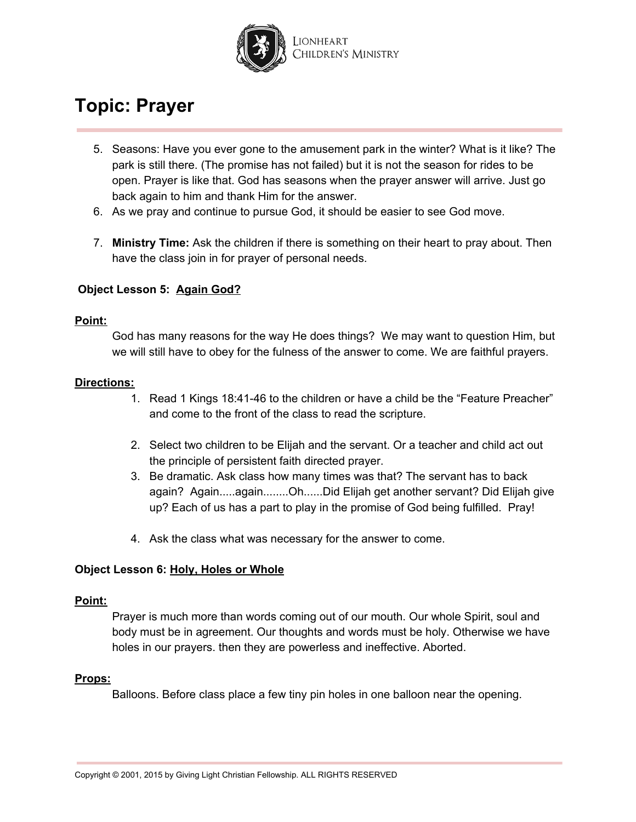

- 5. Seasons: Have you ever gone to the amusement park in the winter? What is it like? The park is still there. (The promise has not failed) but it is not the season for rides to be open. Prayer is like that. God has seasons when the prayer answer will arrive. Just go back again to him and thank Him for the answer.
- 6. As we pray and continue to pursue God, it should be easier to see God move.
- 7. **Ministry Time:** Ask the children if there is something on their heart to pray about. Then have the class join in for prayer of personal needs.

### **Object Lesson 5: Again God?**

#### **Point:**

God has many reasons for the way He does things? We may want to question Him, but we will still have to obey for the fulness of the answer to come. We are faithful prayers.

#### **Directions:**

- 1. Read 1 Kings 18:41-46 to the children or have a child be the "Feature Preacher" and come to the front of the class to read the scripture.
- 2. Select two children to be Elijah and the servant. Or a teacher and child act out the principle of persistent faith directed prayer.
- 3. Be dramatic. Ask class how many times was that? The servant has to back again? Again.....again........Oh......Did Elijah get another servant? Did Elijah give up? Each of us has a part to play in the promise of God being fulfilled. Pray!
- 4. Ask the class what was necessary for the answer to come.

#### **Object Lesson 6: Holy, Holes or Whole**

#### **Point:**

Prayer is much more than words coming out of our mouth. Our whole Spirit, soul and body must be in agreement. Our thoughts and words must be holy. Otherwise we have holes in our prayers. then they are powerless and ineffective. Aborted.

#### **Props:**

Balloons. Before class place a few tiny pin holes in one balloon near the opening.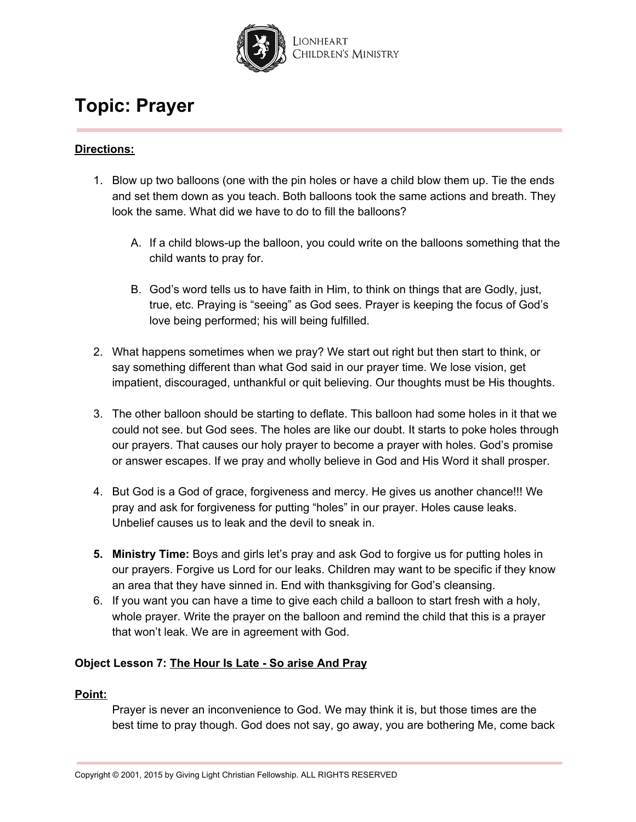

#### **Directions:**

- 1. Blow up two balloons (one with the pin holes or have a child blow them up. Tie the ends and set them down as you teach. Both balloons took the same actions and breath. They look the same. What did we have to do to fill the balloons?
	- A. If a child blows-up the balloon, you could write on the balloons something that the child wants to pray for.
	- B. God's word tells us to have faith in Him, to think on things that are Godly, just, true, etc. Praying is "seeing" as God sees. Prayer is keeping the focus of God's love being performed; his will being fulfilled.
- 2. What happens sometimes when we pray? We start out right but then start to think, or say something different than what God said in our prayer time. We lose vision, get impatient, discouraged, unthankful or quit believing. Our thoughts must be His thoughts.
- 3. The other balloon should be starting to deflate. This balloon had some holes in it that we could not see. but God sees. The holes are like our doubt. It starts to poke holes through our prayers. That causes our holy prayer to become a prayer with holes. God's promise or answer escapes. If we pray and wholly believe in God and His Word it shall prosper.
- 4. But God is a God of grace, forgiveness and mercy. He gives us another chance!!! We pray and ask for forgiveness for putting "holes" in our prayer. Holes cause leaks. Unbelief causes us to leak and the devil to sneak in.
- **5. Ministry Time:** Boys and girls let's pray and ask God to forgive us for putting holes in our prayers. Forgive us Lord for our leaks. Children may want to be specific if they know an area that they have sinned in. End with thanksgiving for God's cleansing.
- 6. If you want you can have a time to give each child a balloon to start fresh with a holy, whole prayer. Write the prayer on the balloon and remind the child that this is a prayer that won't leak. We are in agreement with God.

#### **Object Lesson 7: The Hour Is Late - So arise And Pray**

#### **Point:**

Prayer is never an inconvenience to God. We may think it is, but those times are the best time to pray though. God does not say, go away, you are bothering Me, come back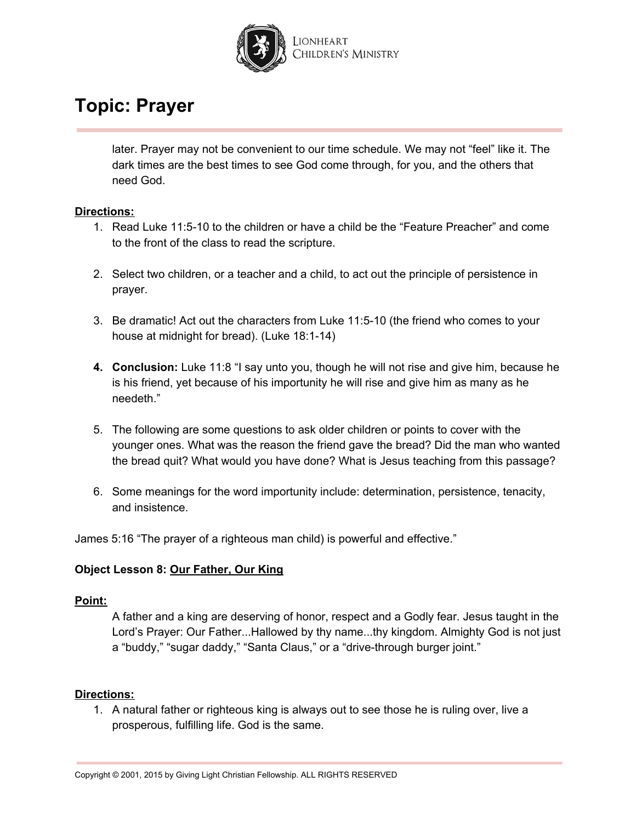

later. Prayer may not be convenient to our time schedule. We may not "feel" like it. The dark times are the best times to see God come through, for you, and the others that need God.

#### **Directions:**

- 1. Read Luke 11:5-10 to the children or have a child be the "Feature Preacher" and come to the front of the class to read the scripture.
- 2. Select two children, or a teacher and a child, to act out the principle of persistence in prayer.
- 3. Be dramatic! Act out the characters from Luke 11:5-10 (the friend who comes to your house at midnight for bread). (Luke 18:1-14)
- **4. Conclusion:** Luke 11:8 "I say unto you, though he will not rise and give him, because he is his friend, yet because of his importunity he will rise and give him as many as he needeth."
- 5. The following are some questions to ask older children or points to cover with the younger ones. What was the reason the friend gave the bread? Did the man who wanted the bread quit? What would you have done? What is Jesus teaching from this passage?
- 6. Some meanings for the word importunity include: determination, persistence, tenacity, and insistence.

James 5:16 "The prayer of a righteous man child) is powerful and effective."

#### **Object Lesson 8: Our Father, Our King**

#### **Point:**

A father and a king are deserving of honor, respect and a Godly fear. Jesus taught in the Lord's Prayer: Our Father...Hallowed by thy name...thy kingdom. Almighty God is not just a "buddy," "sugar daddy," "Santa Claus," or a "drive-through burger joint."

#### **Directions:**

1. A natural father or righteous king is always out to see those he is ruling over, live a prosperous, fulfilling life. God is the same.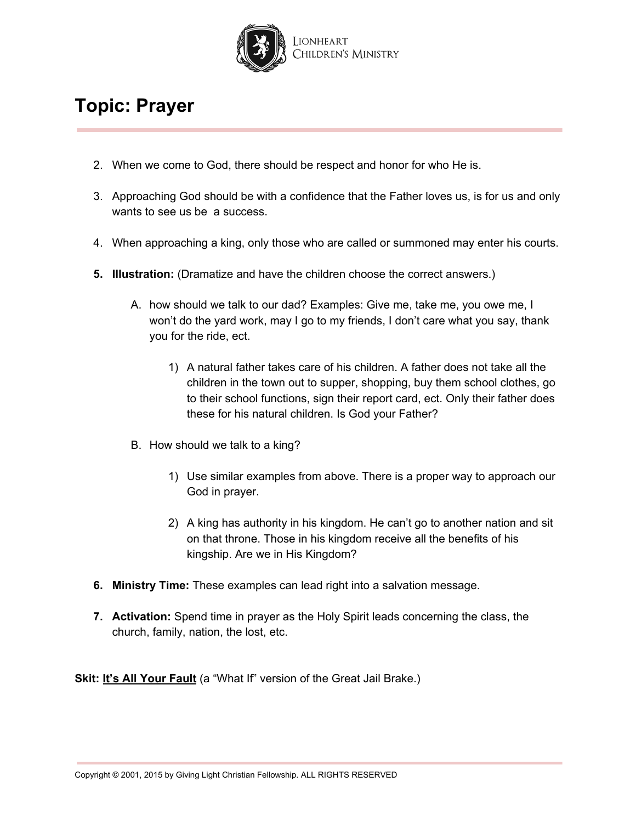

- 2. When we come to God, there should be respect and honor for who He is.
- 3. Approaching God should be with a confidence that the Father loves us, is for us and only wants to see us be a success.
- 4. When approaching a king, only those who are called or summoned may enter his courts.
- **5. Illustration:** (Dramatize and have the children choose the correct answers.)
	- A. how should we talk to our dad? Examples: Give me, take me, you owe me, I won't do the yard work, may I go to my friends, I don't care what you say, thank you for the ride, ect.
		- 1) A natural father takes care of his children. A father does not take all the children in the town out to supper, shopping, buy them school clothes, go to their school functions, sign their report card, ect. Only their father does these for his natural children. Is God your Father?
	- B. How should we talk to a king?
		- 1) Use similar examples from above. There is a proper way to approach our God in prayer.
		- 2) A king has authority in his kingdom. He can't go to another nation and sit on that throne. Those in his kingdom receive all the benefits of his kingship. Are we in His Kingdom?
- **6. Ministry Time:** These examples can lead right into a salvation message.
- **7. Activation:** Spend time in prayer as the Holy Spirit leads concerning the class, the church, family, nation, the lost, etc.

**Skit: It's All Your Fault** (a "What If" version of the Great Jail Brake.)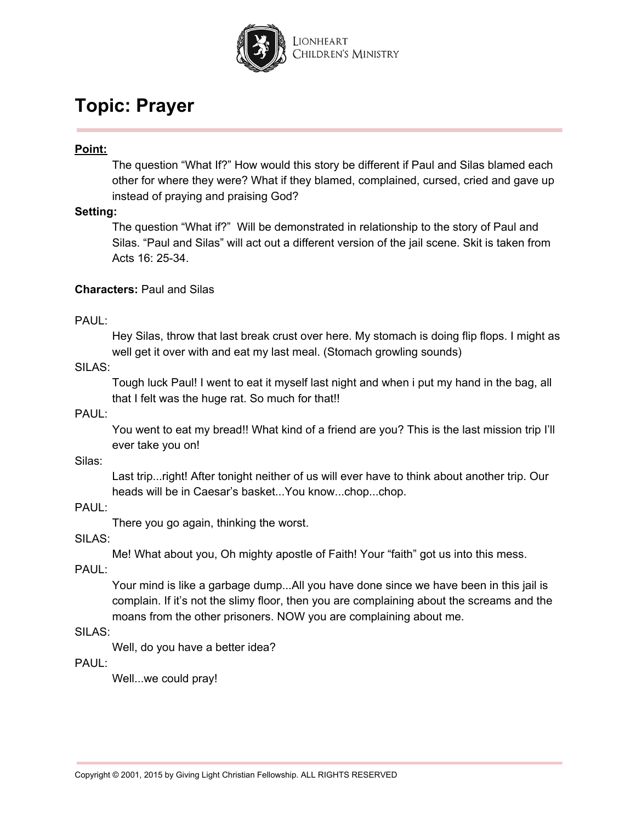

#### **Point:**

The question "What If?" How would this story be different if Paul and Silas blamed each other for where they were? What if they blamed, complained, cursed, cried and gave up instead of praying and praising God?

#### **Setting:**

The question "What if?" Will be demonstrated in relationship to the story of Paul and Silas. "Paul and Silas" will act out a different version of the jail scene. Skit is taken from Acts 16: 25-34.

#### **Characters:** Paul and Silas

#### PAUL:

Hey Silas, throw that last break crust over here. My stomach is doing flip flops. I might as well get it over with and eat my last meal. (Stomach growling sounds)

#### SILAS:

Tough luck Paul! I went to eat it myself last night and when i put my hand in the bag, all that I felt was the huge rat. So much for that!!

#### PAUL:

You went to eat my bread!! What kind of a friend are you? This is the last mission trip I'll ever take you on!

#### Silas:

Last trip...right! After tonight neither of us will ever have to think about another trip. Our heads will be in Caesar's basket...You know...chop...chop.

#### PAUL:

There you go again, thinking the worst.

#### SILAS:

Me! What about you, Oh mighty apostle of Faith! Your "faith" got us into this mess.

#### PAUL:

Your mind is like a garbage dump...All you have done since we have been in this jail is complain. If it's not the slimy floor, then you are complaining about the screams and the moans from the other prisoners. NOW you are complaining about me.

#### SILAS:

Well, do you have a better idea?

#### PAUL:

Well...we could pray!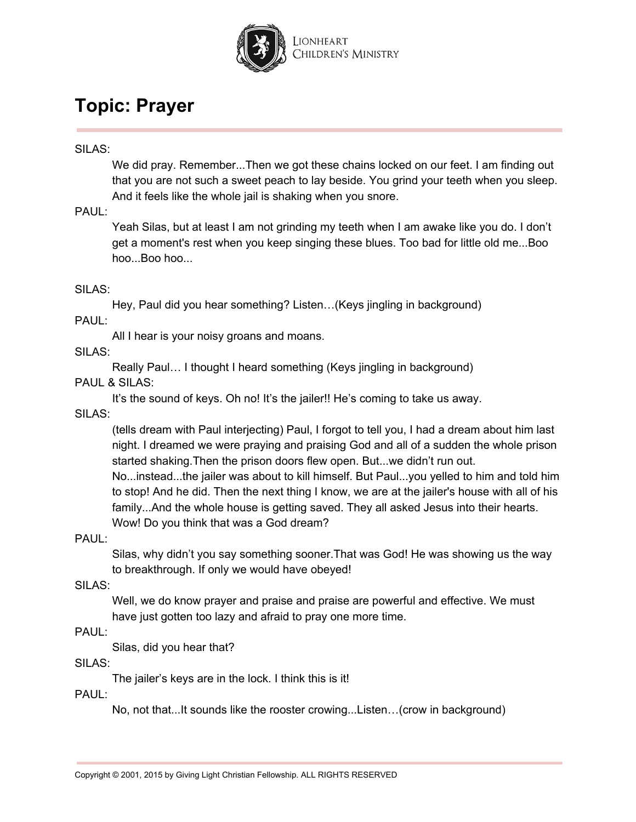

#### SILAS:

We did pray. Remember...Then we got these chains locked on our feet. I am finding out that you are not such a sweet peach to lay beside. You grind your teeth when you sleep. And it feels like the whole jail is shaking when you snore.

PAUL:

Yeah Silas, but at least I am not grinding my teeth when I am awake like you do. I don't get a moment's rest when you keep singing these blues. Too bad for little old me...Boo hoo...Boo hoo...

#### SILAS:

Hey, Paul did you hear something? Listen…(Keys jingling in background)

PAUL:

All I hear is your noisy groans and moans.

#### SILAS:

Really Paul… I thought I heard something (Keys jingling in background)

#### PAUL & SILAS:

It's the sound of keys. Oh no! It's the jailer!! He's coming to take us away.

SILAS:

(tells dream with Paul interjecting) Paul, I forgot to tell you, I had a dream about him last night. I dreamed we were praying and praising God and all of a sudden the whole prison started shaking.Then the prison doors flew open. But...we didn't run out.

No...instead...the jailer was about to kill himself. But Paul...you yelled to him and told him to stop! And he did. Then the next thing I know, we are at the jailer's house with all of his family...And the whole house is getting saved. They all asked Jesus into their hearts. Wow! Do you think that was a God dream?

#### PAUL:

Silas, why didn't you say something sooner.That was God! He was showing us the way to breakthrough. If only we would have obeyed!

#### SILAS:

Well, we do know prayer and praise and praise are powerful and effective. We must have just gotten too lazy and afraid to pray one more time.

PAUL:

Silas, did you hear that?

SILAS:

The jailer's keys are in the lock. I think this is it!

PAUL:

No, not that...It sounds like the rooster crowing...Listen…(crow in background)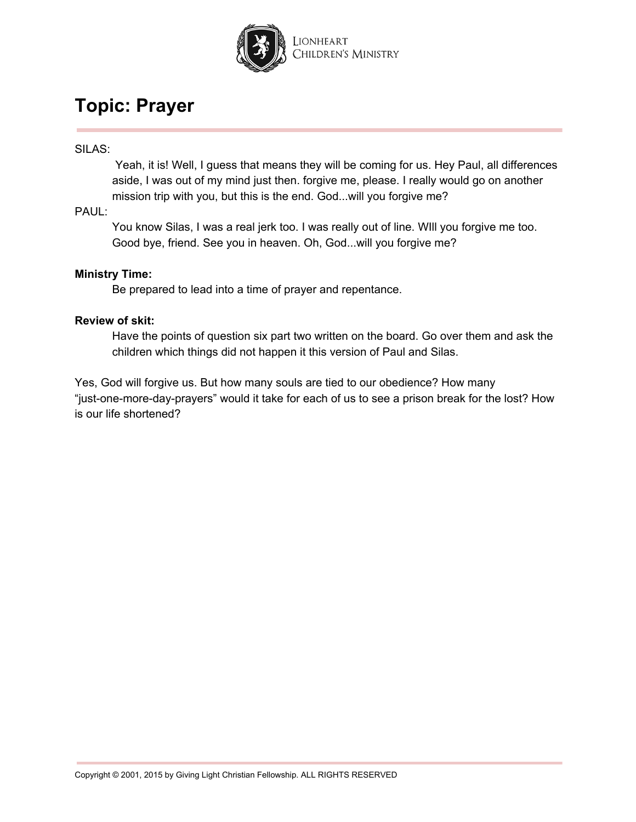

#### SILAS:

Yeah, it is! Well, I guess that means they will be coming for us. Hey Paul, all differences aside, I was out of my mind just then. forgive me, please. I really would go on another mission trip with you, but this is the end. God...will you forgive me?

#### PAUL:

You know Silas, I was a real jerk too. I was really out of line. WIll you forgive me too. Good bye, friend. See you in heaven. Oh, God...will you forgive me?

#### **Ministry Time:**

Be prepared to lead into a time of prayer and repentance.

#### **Review of skit:**

Have the points of question six part two written on the board. Go over them and ask the children which things did not happen it this version of Paul and Silas.

Yes, God will forgive us. But how many souls are tied to our obedience? How many "just-one-more-day-prayers" would it take for each of us to see a prison break for the lost? How is our life shortened?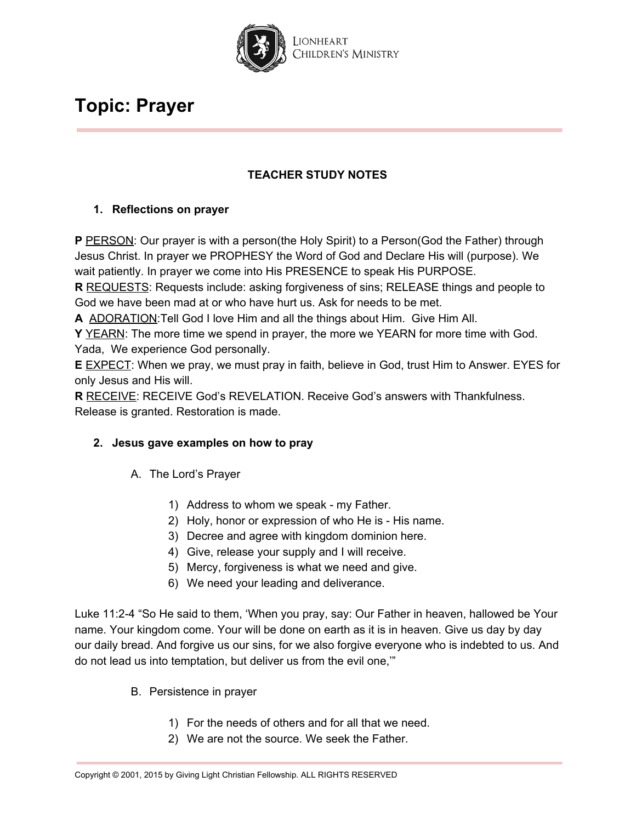

### **TEACHER STUDY NOTES**

### **1. Reflections on prayer**

**P** PERSON: Our prayer is with a person(the Holy Spirit) to a Person(God the Father) through Jesus Christ. In prayer we PROPHESY the Word of God and Declare His will (purpose). We wait patiently. In prayer we come into His PRESENCE to speak His PURPOSE.

**R** REQUESTS: Requests include: asking forgiveness of sins; RELEASE things and people to God we have been mad at or who have hurt us. Ask for needs to be met.

**A** ADORATION:Tell God I love Him and all the things about Him. Give Him All.

**Y** YEARN: The more time we spend in prayer, the more we YEARN for more time with God. Yada, We experience God personally.

**E** EXPECT: When we pray, we must pray in faith, believe in God, trust Him to Answer. EYES for only Jesus and His will.

**R** RECEIVE: RECEIVE God's REVELATION. Receive God's answers with Thankfulness. Release is granted. Restoration is made.

### **2. Jesus gave examples on how to pray**

- A. The Lord's Prayer
	- 1) Address to whom we speak my Father.
	- 2) Holy, honor or expression of who He is His name.
	- 3) Decree and agree with kingdom dominion here.
	- 4) Give, release your supply and I will receive.
	- 5) Mercy, forgiveness is what we need and give.
	- 6) We need your leading and deliverance.

Luke 11:2-4 "So He said to them, 'When you pray, say: Our Father in heaven, hallowed be Your name. Your kingdom come. Your will be done on earth as it is in heaven. Give us day by day our daily bread. And forgive us our sins, for we also forgive everyone who is indebted to us. And do not lead us into temptation, but deliver us from the evil one,'"

- B. Persistence in prayer
	- 1) For the needs of others and for all that we need.
	- 2) We are not the source. We seek the Father.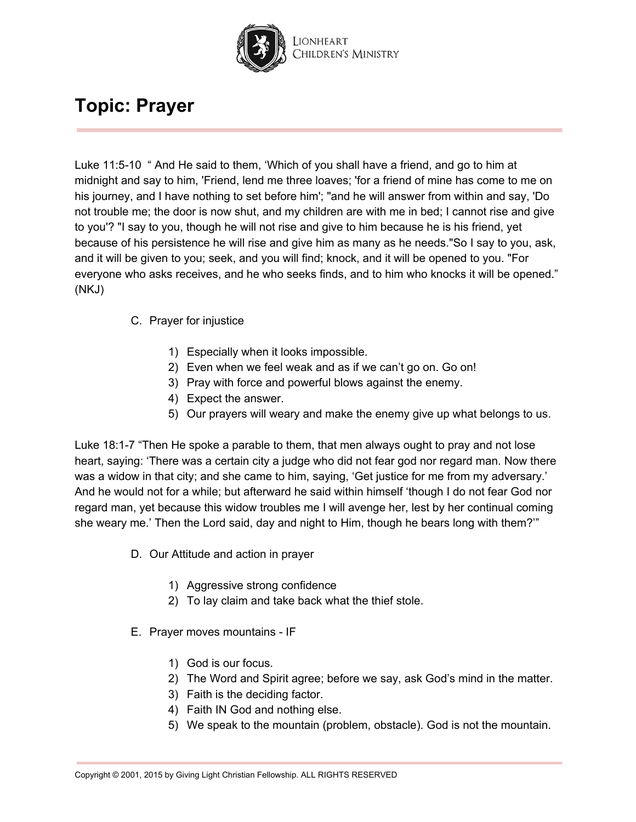

Luke 11:5-10 " And He said to them, 'Which of you shall have a friend, and go to him at midnight and say to him, 'Friend, lend me three loaves; 'for a friend of mine has come to me on his journey, and I have nothing to set before him'; "and he will answer from within and say, 'Do not trouble me; the door is now shut, and my children are with me in bed; I cannot rise and give to you'? "I say to you, though he will not rise and give to him because he is his friend, yet because of his persistence he will rise and give him as many as he needs."So I say to you, ask, and it will be given to you; seek, and you will find; knock, and it will be opened to you. "For everyone who asks receives, and he who seeks finds, and to him who knocks it will be opened." (NKJ)

### C. Prayer for injustice

- 1) Especially when it looks impossible.
- 2) Even when we feel weak and as if we can't go on. Go on!
- 3) Pray with force and powerful blows against the enemy.
- 4) Expect the answer.
- 5) Our prayers will weary and make the enemy give up what belongs to us.

Luke 18:1-7 "Then He spoke a parable to them, that men always ought to pray and not lose heart, saying: 'There was a certain city a judge who did not fear god nor regard man. Now there was a widow in that city; and she came to him, saying, 'Get justice for me from my adversary.' And he would not for a while; but afterward he said within himself 'though I do not fear God nor regard man, yet because this widow troubles me I will avenge her, lest by her continual coming she weary me.' Then the Lord said, day and night to Him, though he bears long with them?'"

- D. Our Attitude and action in prayer
	- 1) Aggressive strong confidence
	- 2) To lay claim and take back what the thief stole.
- E. Prayer moves mountains IF
	- 1) God is our focus.
	- 2) The Word and Spirit agree; before we say, ask God's mind in the matter.
	- 3) Faith is the deciding factor.
	- 4) Faith IN God and nothing else.
	- 5) We speak to the mountain (problem, obstacle). God is not the mountain.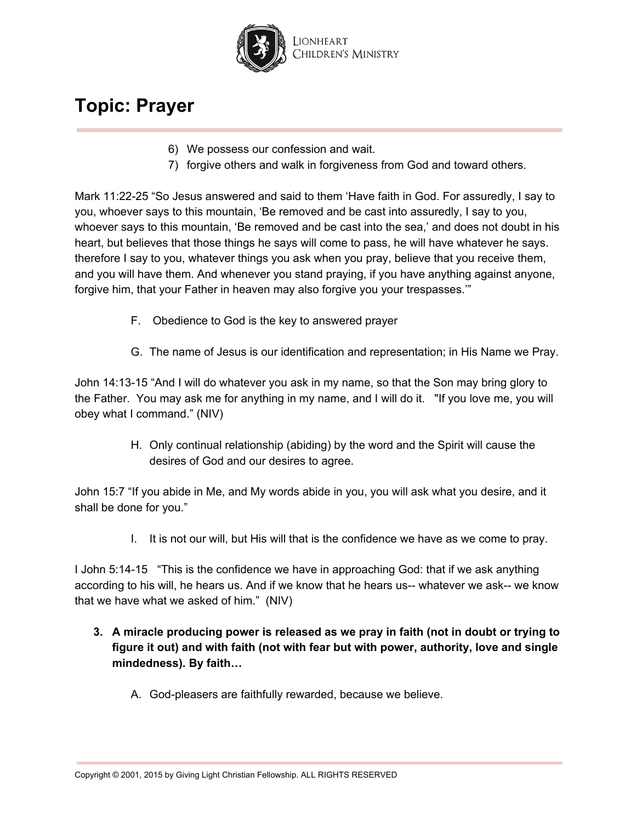

- 6) We possess our confession and wait.
- 7) forgive others and walk in forgiveness from God and toward others.

Mark 11:22-25 "So Jesus answered and said to them 'Have faith in God. For assuredly, I say to you, whoever says to this mountain, 'Be removed and be cast into assuredly, I say to you, whoever says to this mountain, 'Be removed and be cast into the sea,' and does not doubt in his heart, but believes that those things he says will come to pass, he will have whatever he says. therefore I say to you, whatever things you ask when you pray, believe that you receive them, and you will have them. And whenever you stand praying, if you have anything against anyone, forgive him, that your Father in heaven may also forgive you your trespasses.'"

- F. Obedience to God is the key to answered prayer
- G. The name of Jesus is our identification and representation; in His Name we Pray.

John 14:13-15 "And I will do whatever you ask in my name, so that the Son may bring glory to the Father. You may ask me for anything in my name, and I will do it. "If you love me, you will obey what I command." (NIV)

> H. Only continual relationship (abiding) by the word and the Spirit will cause the desires of God and our desires to agree.

John 15:7 "If you abide in Me, and My words abide in you, you will ask what you desire, and it shall be done for you."

I. It is not our will, but His will that is the confidence we have as we come to pray.

I John 5:14-15 "This is the confidence we have in approaching God: that if we ask anything according to his will, he hears us. And if we know that he hears us-- whatever we ask-- we know that we have what we asked of him." (NIV)

- **3. A miracle producing power is released as we pray in faith (not in doubt or trying to figure it out) and with faith (not with fear but with power, authority, love and single mindedness). By faith…**
	- A. God-pleasers are faithfully rewarded, because we believe.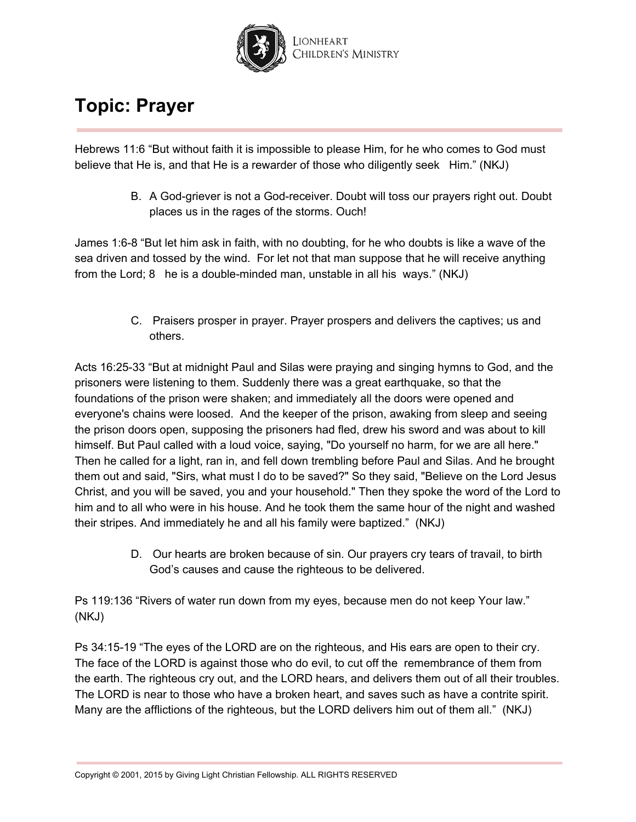

Hebrews 11:6 "But without faith it is impossible to please Him, for he who comes to God must believe that He is, and that He is a rewarder of those who diligently seek Him." (NKJ)

> B. A God-griever is not a God-receiver. Doubt will toss our prayers right out. Doubt places us in the rages of the storms. Ouch!

James 1:6-8 "But let him ask in faith, with no doubting, for he who doubts is like a wave of the sea driven and tossed by the wind. For let not that man suppose that he will receive anything from the Lord; 8 he is a double-minded man, unstable in all his ways." (NKJ)

> C. Praisers prosper in prayer. Prayer prospers and delivers the captives; us and others.

Acts 16:25-33 "But at midnight Paul and Silas were praying and singing hymns to God, and the prisoners were listening to them. Suddenly there was a great earthquake, so that the foundations of the prison were shaken; and immediately all the doors were opened and everyone's chains were loosed. And the keeper of the prison, awaking from sleep and seeing the prison doors open, supposing the prisoners had fled, drew his sword and was about to kill himself. But Paul called with a loud voice, saying, "Do yourself no harm, for we are all here." Then he called for a light, ran in, and fell down trembling before Paul and Silas. And he brought them out and said, "Sirs, what must I do to be saved?" So they said, "Believe on the Lord Jesus Christ, and you will be saved, you and your household." Then they spoke the word of the Lord to him and to all who were in his house. And he took them the same hour of the night and washed their stripes. And immediately he and all his family were baptized." (NKJ)

> D. Our hearts are broken because of sin. Our prayers cry tears of travail, to birth God's causes and cause the righteous to be delivered.

Ps 119:136 "Rivers of water run down from my eyes, because men do not keep Your law." (NKJ)

Ps 34:15-19 "The eyes of the LORD are on the righteous, and His ears are open to their cry. The face of the LORD is against those who do evil, to cut off the remembrance of them from the earth. The righteous cry out, and the LORD hears, and delivers them out of all their troubles. The LORD is near to those who have a broken heart, and saves such as have a contrite spirit. Many are the afflictions of the righteous, but the LORD delivers him out of them all." (NKJ)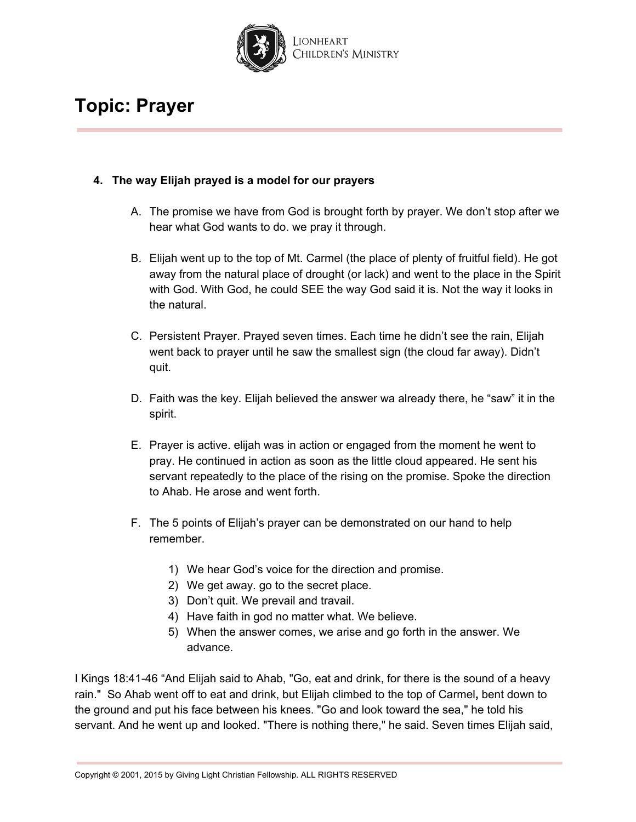

#### **4. The way Elijah prayed is a model for our prayers**

- A. The promise we have from God is brought forth by prayer. We don't stop after we hear what God wants to do. we pray it through.
- B. Elijah went up to the top of Mt. Carmel (the place of plenty of fruitful field). He got away from the natural place of drought (or lack) and went to the place in the Spirit with God. With God, he could SEE the way God said it is. Not the way it looks in the natural.
- C. Persistent Prayer. Prayed seven times. Each time he didn't see the rain, Elijah went back to prayer until he saw the smallest sign (the cloud far away). Didn't quit.
- D. Faith was the key. Elijah believed the answer wa already there, he "saw" it in the spirit.
- E. Prayer is active. elijah was in action or engaged from the moment he went to pray. He continued in action as soon as the little cloud appeared. He sent his servant repeatedly to the place of the rising on the promise. Spoke the direction to Ahab. He arose and went forth.
- F. The 5 points of Elijah's prayer can be demonstrated on our hand to help remember.
	- 1) We hear God's voice for the direction and promise.
	- 2) We get away. go to the secret place.
	- 3) Don't quit. We prevail and travail.
	- 4) Have faith in god no matter what. We believe.
	- 5) When the answer comes, we arise and go forth in the answer. We advance.

I Kings 18:41-46 "And Elijah said to Ahab, "Go, eat and drink, for there is the sound of a heavy rain." So Ahab went off to eat and drink, but Elijah climbed to the top of Carmel**,** bent down to the ground and put his face between his knees. "Go and look toward the sea," he told his servant. And he went up and looked. "There is nothing there," he said. Seven times Elijah said,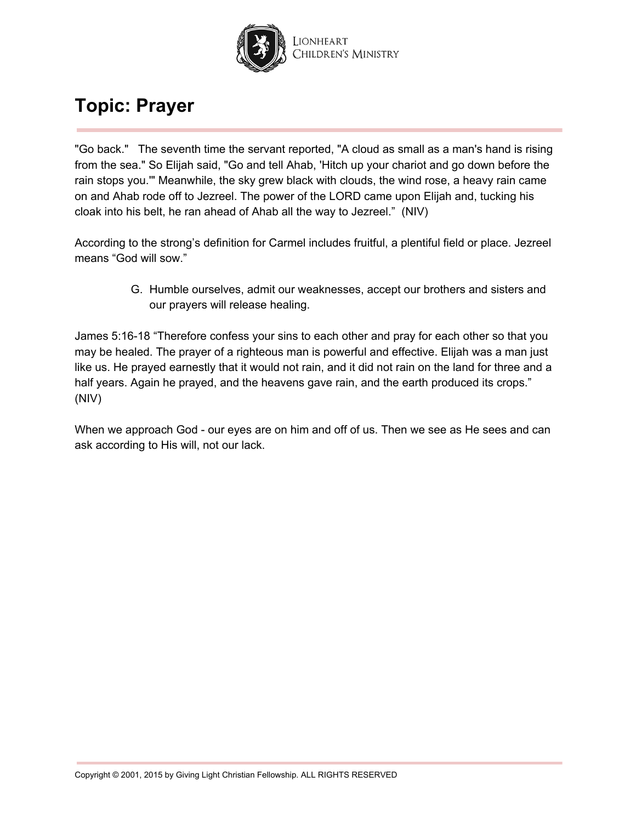

"Go back." The seventh time the servant reported, "A cloud as small as a man's hand is rising from the sea." So Elijah said, "Go and tell Ahab, 'Hitch up your chariot and go down before the rain stops you.'" Meanwhile, the sky grew black with clouds, the wind rose, a heavy rain came on and Ahab rode off to Jezreel. The power of the LORD came upon Elijah and, tucking his cloak into his belt, he ran ahead of Ahab all the way to Jezreel." (NIV)

According to the strong's definition for Carmel includes fruitful, a plentiful field or place. Jezreel means "God will sow."

> G. Humble ourselves, admit our weaknesses, accept our brothers and sisters and our prayers will release healing.

James 5:16-18 "Therefore confess your sins to each other and pray for each other so that you may be healed. The prayer of a righteous man is powerful and effective. Elijah was a man just like us. He prayed earnestly that it would not rain, and it did not rain on the land for three and a half years. Again he prayed, and the heavens gave rain, and the earth produced its crops." (NIV)

When we approach God - our eyes are on him and off of us. Then we see as He sees and can ask according to His will, not our lack.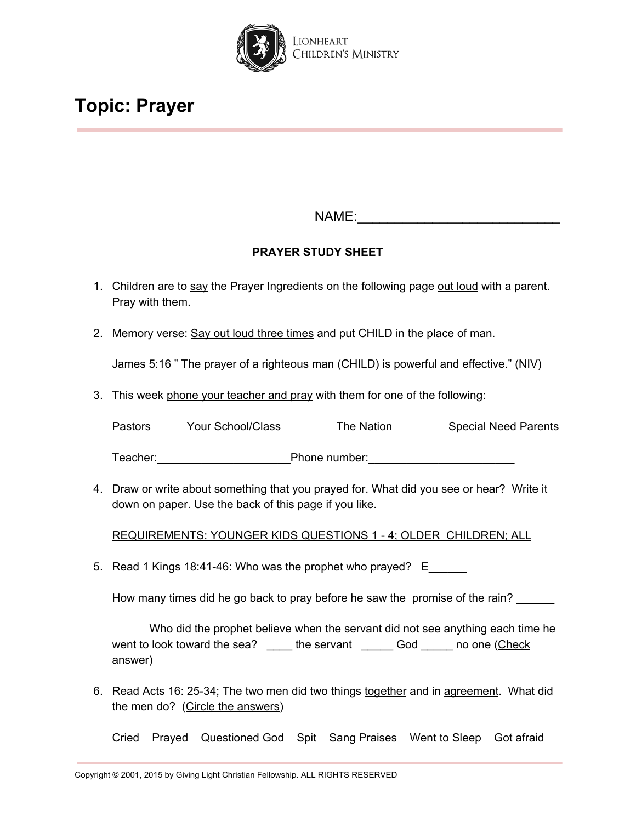

NAME:\_\_\_\_\_\_\_\_\_\_\_\_\_\_\_\_\_\_\_\_\_\_\_\_\_\_\_

### **PRAYER STUDY SHEET**

- 1. Children are to say the Prayer Ingredients on the following page out loud with a parent. Pray with them.
- 2. Memory verse: Say out loud three times and put CHILD in the place of man.

James 5:16 " The prayer of a righteous man (CHILD) is powerful and effective." (NIV)

3. This week phone your teacher and pray with them for one of the following:

| Pastors | Your School/Class | The Nation | <b>Special Need Parents</b> |
|---------|-------------------|------------|-----------------------------|
|         |                   |            |                             |

Teacher: The Teacher: The Teacher: Teacher: Teacher: Teacher: Teacher: Teacher: Teacher: Teacher: Teacher: Teacher: Teacher: Teacher: Teacher: Teacher: Teacher: Teacher: Teacher: Teacher: Teacher: Teacher: Teacher: Teacher

4. Draw or write about something that you prayed for. What did you see or hear? Write it down on paper. Use the back of this page if you like.

REQUIREMENTS: YOUNGER KIDS QUESTIONS 1 - 4; OLDER CHILDREN; ALL

5. Read 1 Kings 18:41-46: Who was the prophet who prayed? E

How many times did he go back to pray before he saw the promise of the rain?

Who did the prophet believe when the servant did not see anything each time he went to look toward the sea? \_\_\_\_ the servant \_\_\_\_\_ God \_\_\_\_\_ no one (Check answer)

6. Read Acts 16: 25-34; The two men did two things together and in agreement. What did the men do? (Circle the answers)

Cried Prayed Questioned God Spit Sang Praises Went to Sleep Got afraid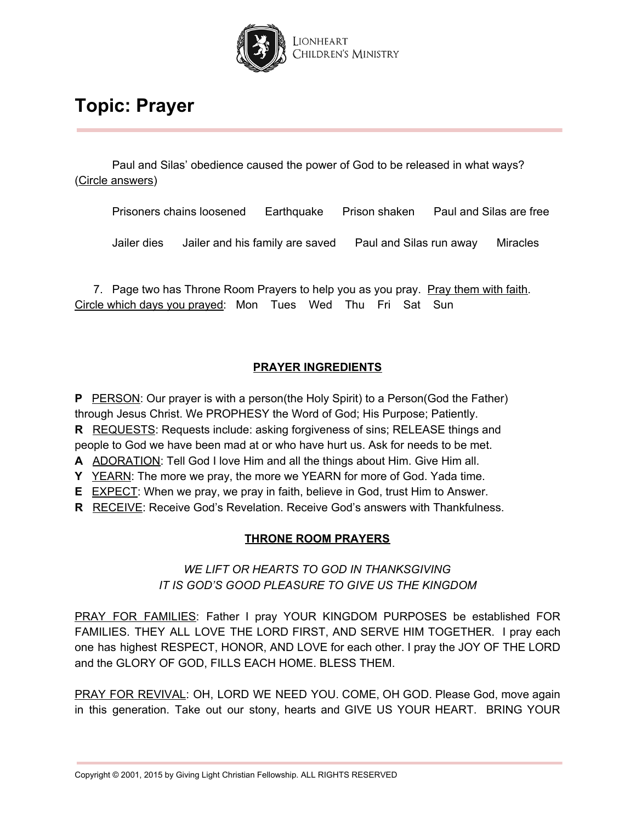

Paul and Silas' obedience caused the power of God to be released in what ways? (Circle answers)

Prisoners chains loosened Earthquake Prison shaken Paul and Silas are free

Jailer dies Jailer and his family are saved Paul and Silas run away Miracles

7. Page two has Throne Room Prayers to help you as you pray. Pray them with faith. Circle which days you prayed: Mon Tues Wed Thu Fri Sat Sun

### **PRAYER INGREDIENTS**

**P** PERSON: Our prayer is with a person(the Holy Spirit) to a Person(God the Father) through Jesus Christ. We PROPHESY the Word of God; His Purpose; Patiently. **R** REQUESTS: Requests include: asking forgiveness of sins; RELEASE things and people to God we have been mad at or who have hurt us. Ask for needs to be met. **A** ADORATION: Tell God I love Him and all the things about Him. Give Him all.

**Y** YEARN: The more we pray, the more we YEARN for more of God. Yada time.

**E** EXPECT: When we pray, we pray in faith, believe in God, trust Him to Answer.

**R** RECEIVE: Receive God's Revelation. Receive God's answers with Thankfulness.

### **THRONE ROOM PRAYERS**

### *WE LIFT OR HEARTS TO GOD IN THANKSGIVING IT IS GOD'S GOOD PLEASURE TO GIVE US THE KINGDOM*

PRAY FOR FAMILIES: Father I pray YOUR KINGDOM PURPOSES be established FOR FAMILIES. THEY ALL LOVE THE LORD FIRST, AND SERVE HIM TOGETHER. I pray each one has highest RESPECT, HONOR, AND LOVE for each other. I pray the JOY OF THE LORD and the GLORY OF GOD, FILLS EACH HOME. BLESS THEM.

PRAY FOR REVIVAL: OH, LORD WE NEED YOU. COME, OH GOD. Please God, move again in this generation. Take out our stony, hearts and GIVE US YOUR HEART. BRING YOUR